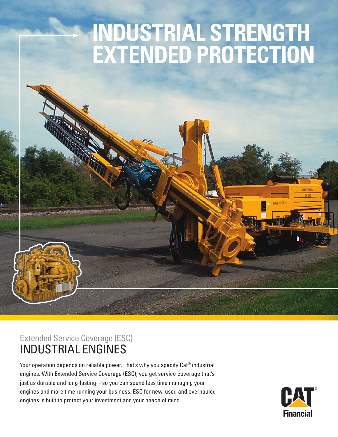# **INDUSTRIAL STRENGTH EXTENDED PROTECTION**

## Extended Service Coverage (ESC) INDUSTRIAL ENGINES

Your operation depends on reliable power. That's why you specify Cat<sup>®</sup> industrial engines. With Extended Service Coverage (ESC), you get service coverage that's just as durable and long-lasting—so you can spend less time managing your engines and more time running your business. ESC for new, used and overhauled engines is built to protect your investment and your peace of mind.